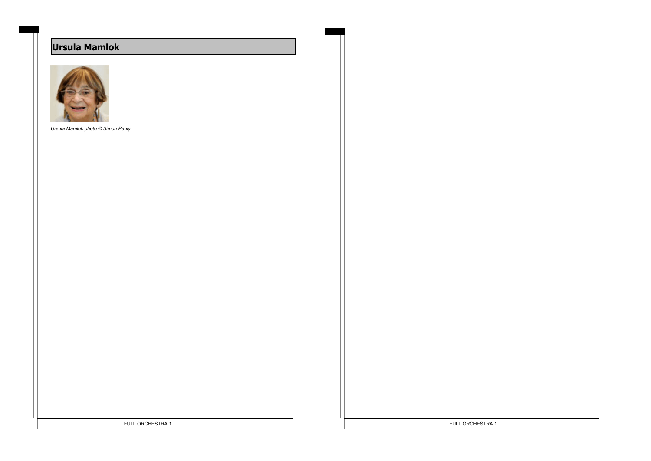# **Ursula Mamlok**



*Ursula Mamlok photo © Simon Pauly*

FULL ORCHESTRA 1 FULL ORCHESTRA 1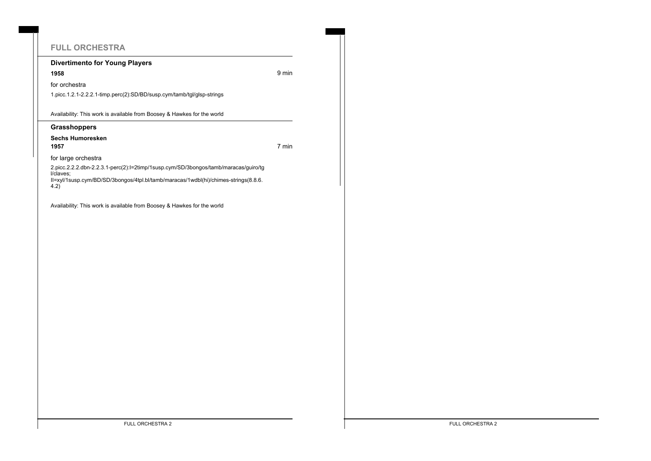# **FULL ORCHESTRA**

### **Divertimento for Young Players**

**1958** 9 min

for orchestra

1.picc.1.2.1-2.2.2.1-timp.perc(2):SD/BD/susp.cym/tamb/tgl/glsp-strings

Availability: This work is available from Boosey & Hawkes for the world

### **Grasshoppers**

### **Sechs Humoresken**

**1957** 7 min

for large orchestra

2.picc.2.2.2.dbn-2.2.3.1-perc(2):I=2timp/1susp.cym/SD/3bongos/tamb/maracas/guiro/tg l/claves; II=xyl/1susp.cym/BD/SD/3bongos/4tpl.bl/tamb/maracas/1wdbl(hi)/chimes-strings(8.8.6.

4.2)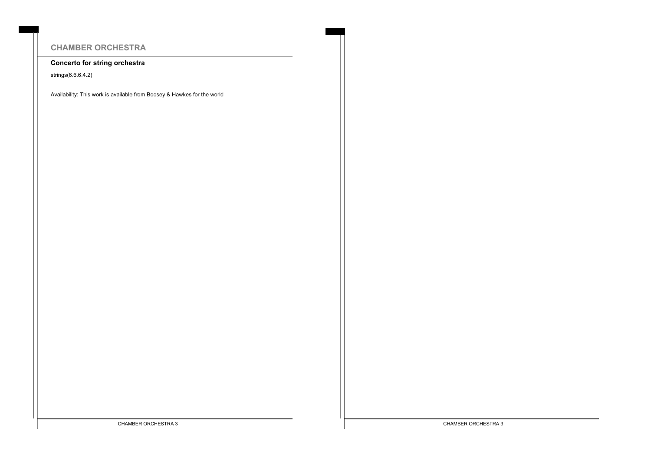# **CHAMBER ORCHESTRA**

### **Concerto for string orchestra**

strings(6.6.6.4.2)

Availability: This work is available from Boosey & Hawkes for the world

CHAMBER ORCHESTRA 3 CHAMBER ORCHESTRA 3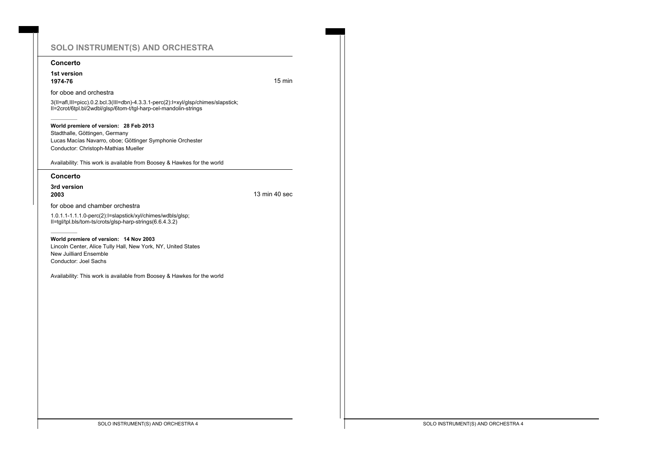### **SOLO INSTRUMENT(S) AND ORCHESTRA**

#### **Concerto**

**1st version 1974-76** 15 min

#### for oboe and orchestra

3(II=afl,III=picc).0.2.bcl.3(III=dbn)-4.3.3.1-perc(2):I=xyl/glsp/chimes/slapstick; II=2crot/6tpl.bl/2wdbl/glsp/6tom-t/tgl-harp-cel-mandolin-strings

**World premiere of version: 28 Feb 2013** Stadthalle, Göttingen, Germany Lucas Macías Navarro, oboe; Göttinger Symphonie Orchester Conductor: Christoph-Mathias Mueller

Availability: This work is available from Boosey & Hawkes for the world

#### **Concerto**

**3rd version 2003** 13 min 40 sec

for oboe and chamber orchestra

1.0.1.1-1.1.1.0-perc(2):I=slapstick/xyl/chimes/wdbls/glsp; II=tgl/tpl.bls/tom-ts/crots/glsp-harp-strings(6.6.4.3.2)

**World premiere of version: 14 Nov 2003** Lincoln Center, Alice Tully Hall, New York, NY, United States New Juilliard Ensemble Conductor: Joel Sachs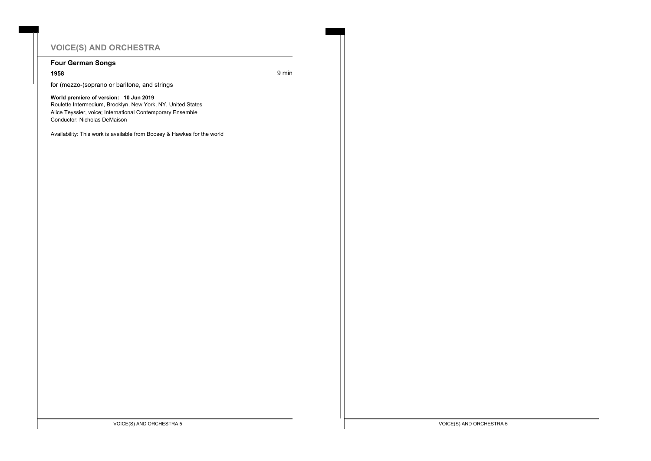# **VOICE(S) AND ORCHESTRA**

### **Four German Songs**

**1958** 9 min

for (mezzo-)soprano or baritone, and strings

**World premiere of version: 10 Jun 2019** Roulette Intermedium, Brooklyn, New York, NY, United States Alice Teyssier, voice; International Contemporary Ensemble Conductor: Nicholas DeMaison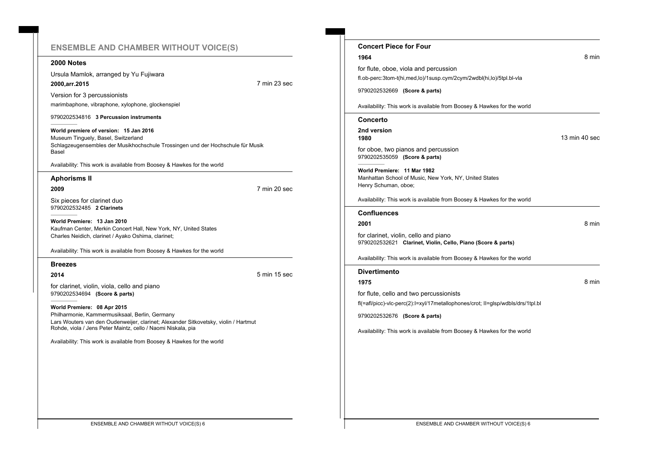### **ENSEMBLE AND CHAMBER WITHOUT VOICE(S)**

#### **2000 Notes**

Ursula Mamlok, arranged by Yu Fujiwara **2000,arr.2015** 7 min 23 sec

Version for 3 percussionists marimbaphone, vibraphone, xylophone, glockenspiel

9790202534816 **3 Percussion instruments**

**World premiere of version: 15 Jan 2016** Museum Tinguely, Basel, Switzerland Schlagzeugensembles der Musikhochschule Trossingen und der Hochschule für Musik Basel

Availability: This work is available from Boosey & Hawkes for the world

#### **Aphorisms II**

**2009** 7 min 20 sec

Six pieces for clarinet duo 9790202532485 **2 Clarinets**

**World Premiere: 13 Jan 2010** Kaufman Center, Merkin Concert Hall, New York, NY, United States Charles Neidich, clarinet / Ayako Oshima, clarinet;

Availability: This work is available from Boosey & Hawkes for the world

### **Breezes**

**2014** 5 min 15 sec

for clarinet, violin, viola, cello and piano 9790202534694 **(Score & parts)**

**World Premiere: 08 Apr 2015** Philharmonie, Kammermusiksaal, Berlin, Germany Lars Wouters van den Oudenweijer, clarinet; Alexander Sitkovetsky, violin / Hartmut Rohde, viola / Jens Peter Maintz, cello / Naomi Niskala, pia

| <b>Concert Piece for Four</b>                                                                                 |               |
|---------------------------------------------------------------------------------------------------------------|---------------|
| 1964                                                                                                          | 8 min         |
| for flute, oboe, viola and percussion                                                                         |               |
| fl.ob-perc:3tom-t(hi,med,lo)/1susp.cym/2cym/2wdbl(hi,lo)/5tpl.bl-vla                                          |               |
| 9790202532669 (Score & parts)                                                                                 |               |
| Availability: This work is available from Boosey & Hawkes for the world                                       |               |
| Concerto                                                                                                      |               |
| 2nd version<br>1980                                                                                           | 13 min 40 sec |
| for oboe, two pianos and percussion<br>9790202535059 (Score & parts)                                          |               |
| World Premiere: 11 Mar 1982<br>Manhattan School of Music, New York, NY, United States<br>Henry Schuman, oboe; |               |
| Availability: This work is available from Boosey & Hawkes for the world                                       |               |
| <b>Confluences</b>                                                                                            |               |
| 2001                                                                                                          | 8 min         |
| for clarinet, violin, cello and piano<br>9790202532621 Clarinet, Violin, Cello, Piano (Score & parts)         |               |
| Availability: This work is available from Boosey & Hawkes for the world                                       |               |
| <b>Divertimento</b>                                                                                           |               |
| 1975                                                                                                          | 8 min         |
| for flute, cello and two percussionists                                                                       |               |
| fl(=afl/picc)-vlc-perc(2):l=xyl/17metallophones/crot; ll=glsp/wdbls/drs/1tpl.bl                               |               |
| 9790202532676 (Score & parts)                                                                                 |               |
| Availability: This work is available from Boosey & Hawkes for the world                                       |               |
|                                                                                                               |               |
|                                                                                                               |               |
|                                                                                                               |               |
|                                                                                                               |               |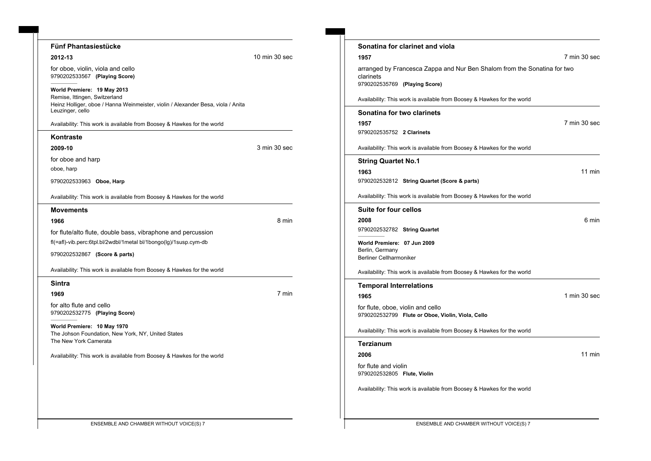| <b>Fünf Phantasiestücke</b>                                                                          |               | Sonatina for clarinet and viola                                                        |              |
|------------------------------------------------------------------------------------------------------|---------------|----------------------------------------------------------------------------------------|--------------|
| 2012-13                                                                                              | 10 min 30 sec | 1957                                                                                   | 7 min 30 sec |
| for oboe, violin, viola and cello<br>9790202533567 (Playing Score)                                   |               | arranged by Francesca Zappa and Nur Ben Shalom from the Sonatina for two<br>clarinets  |              |
| World Premiere: 19 May 2013<br>Remise, Ittingen, Switzerland                                         |               | 9790202535769 (Playing Score)                                                          |              |
| Heinz Holliger, oboe / Hanna Weinmeister, violin / Alexander Besa, viola / Anita<br>Leuzinger, cello |               | Availability: This work is available from Boosey & Hawkes for the world                |              |
| Availability: This work is available from Boosey & Hawkes for the world                              |               | Sonatina for two clarinets<br>1957                                                     | 7 min 30 sec |
| Kontraste                                                                                            |               | 9790202535752 2 Clarinets                                                              |              |
| 2009-10                                                                                              | 3 min 30 sec  | Availability: This work is available from Boosey & Hawkes for the world                |              |
| for oboe and harp                                                                                    |               | <b>String Quartet No.1</b>                                                             |              |
| oboe, harp                                                                                           |               | 1963                                                                                   | 11 min       |
| 9790202533963 Oboe, Harp                                                                             |               | 9790202532812 String Quartet (Score & parts)                                           |              |
| Availability: This work is available from Boosey & Hawkes for the world                              |               | Availability: This work is available from Boosey & Hawkes for the world                |              |
| <b>Movements</b>                                                                                     |               | Suite for four cellos                                                                  |              |
| 1966                                                                                                 | 8 min         | 2008                                                                                   | 6 min        |
| for flute/alto flute, double bass, vibraphone and percussion                                         |               | 9790202532782 String Quartet                                                           |              |
| fl(=afl)-vib.perc:6tpl.bl/2wdbl/1metal bl/1bongo(lg)/1susp.cym-db                                    |               | World Premiere: 07 Jun 2009                                                            |              |
| 9790202532867 (Score & parts)                                                                        |               | Berlin, Germany<br><b>Berliner Cellharmoniker</b>                                      |              |
| Availability: This work is available from Boosey & Hawkes for the world                              |               | Availability: This work is available from Boosey & Hawkes for the world                |              |
| <b>Sintra</b>                                                                                        |               | <b>Temporal Interrelations</b>                                                         |              |
| 1969                                                                                                 | 7 min         | 1965                                                                                   | 1 min 30 sec |
| for alto flute and cello<br>9790202532775 (Playing Score)                                            |               | for flute, oboe, violin and cello<br>9790202532799 Flute or Oboe, Violin, Viola, Cello |              |
| World Premiere: 10 May 1970<br>The Johson Foundation, New York, NY, United States                    |               | Availability: This work is available from Boosey & Hawkes for the world                |              |
| The New York Camerata                                                                                |               | <b>Terzianum</b>                                                                       |              |
| Availability: This work is available from Boosey & Hawkes for the world                              |               | 2006                                                                                   | 11 min       |
|                                                                                                      |               | for flute and violin<br>9790202532805 Flute, Violin                                    |              |
|                                                                                                      |               | Availability: This work is available from Boosey & Hawkes for the world                |              |
|                                                                                                      |               |                                                                                        |              |

۰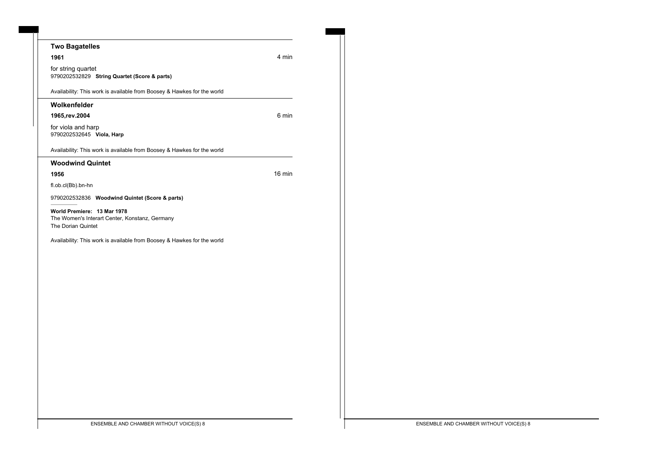| <b>Two Bagatelles</b>                                                                               |        |
|-----------------------------------------------------------------------------------------------------|--------|
| 1961                                                                                                | 4 min  |
| for string quartet<br>9790202532829 String Quartet (Score & parts)                                  |        |
| Availability: This work is available from Boosey & Hawkes for the world                             |        |
| Wolkenfelder                                                                                        |        |
| 1965, rev. 2004                                                                                     | 6 min  |
| for viola and harp<br>9790202532645 Viola, Harp                                                     |        |
| Availability: This work is available from Boosey & Hawkes for the world                             |        |
| <b>Woodwind Quintet</b>                                                                             |        |
| 1956                                                                                                | 16 min |
| fl.ob.cl(Bb).bn-hn                                                                                  |        |
| 9790202532836 Woodwind Quintet (Score & parts)                                                      |        |
| World Premiere: 13 Mar 1978<br>The Women's Interart Center, Konstanz, Germany<br>The Dorian Quintet |        |
| Availability: This work is available from Boosey & Hawkes for the world                             |        |
|                                                                                                     |        |
|                                                                                                     |        |
|                                                                                                     |        |
|                                                                                                     |        |
|                                                                                                     |        |
|                                                                                                     |        |
|                                                                                                     |        |
|                                                                                                     |        |
|                                                                                                     |        |
|                                                                                                     |        |
|                                                                                                     |        |
|                                                                                                     |        |
|                                                                                                     |        |
|                                                                                                     |        |
| ENSEMBLE AND CHAMBER WITHOUT VOICE(S) 8                                                             |        |
|                                                                                                     |        |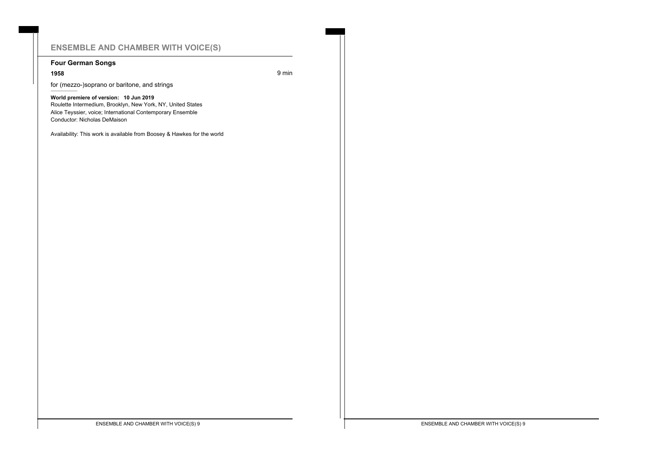## **ENSEMBLE AND CHAMBER WITH VOICE(S)**

### **Four German Songs**

**1958** 9 min

for (mezzo-)soprano or baritone, and strings

**World premiere of version: 10 Jun 2019** Roulette Intermedium, Brooklyn, New York, NY, United States Alice Teyssier, voice; International Contemporary Ensemble Conductor: Nicholas DeMaison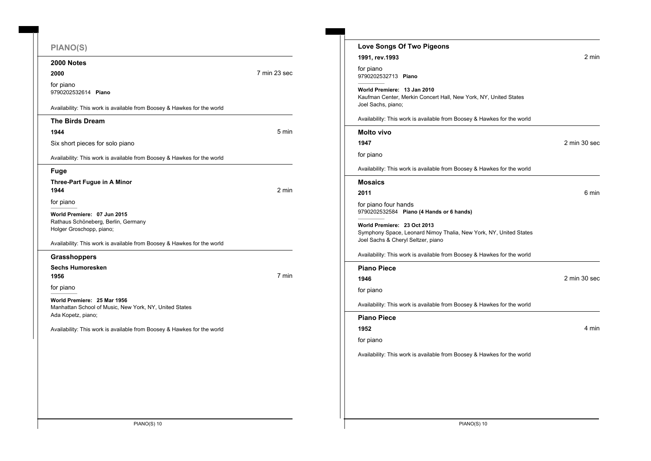| <b>PIANO(S)</b>                                                                                             |              |
|-------------------------------------------------------------------------------------------------------------|--------------|
| 2000 Notes                                                                                                  |              |
| 2000                                                                                                        | 7 min 23 sec |
| for piano<br>9790202532614 Piano                                                                            |              |
| Availability: This work is available from Boosey & Hawkes for the world                                     |              |
| <b>The Birds Dream</b>                                                                                      |              |
| 1944                                                                                                        | 5 min        |
| Six short pieces for solo piano                                                                             |              |
| Availability: This work is available from Boosey & Hawkes for the world                                     |              |
| <b>Fuge</b>                                                                                                 |              |
| Three-Part Fugue in A Minor<br>1944                                                                         | 2 min        |
| for piano                                                                                                   |              |
| World Premiere: 07 Jun 2015<br>Rathaus Schöneberg, Berlin, Germany<br>Holger Groschopp, piano;              |              |
| Availability: This work is available from Boosey & Hawkes for the world                                     |              |
| <b>Grasshoppers</b>                                                                                         |              |
| <b>Sechs Humoresken</b><br>1956                                                                             | 7 min        |
| for piano                                                                                                   |              |
| World Premiere: 25 Mar 1956<br>Manhattan School of Music, New York, NY, United States<br>Ada Kopetz, piano; |              |
| Availability: This work is available from Boosey & Hawkes for the world                                     |              |
|                                                                                                             |              |
|                                                                                                             |              |
|                                                                                                             |              |
|                                                                                                             |              |
|                                                                                                             |              |
|                                                                                                             |              |
|                                                                                                             |              |

| 1991, rev.1993                                                                                                                                                                                                                           |              |
|------------------------------------------------------------------------------------------------------------------------------------------------------------------------------------------------------------------------------------------|--------------|
|                                                                                                                                                                                                                                          | 2 min        |
| for piano<br>9790202532713 Piano                                                                                                                                                                                                         |              |
| World Premiere: 13 Jan 2010<br>Kaufman Center, Merkin Concert Hall, New York, NY, United States<br>Joel Sachs, piano;                                                                                                                    |              |
| Availability: This work is available from Boosey & Hawkes for the world                                                                                                                                                                  |              |
| <b>Molto vivo</b>                                                                                                                                                                                                                        |              |
| 1947                                                                                                                                                                                                                                     | 2 min 30 sec |
| for piano                                                                                                                                                                                                                                |              |
| Availability: This work is available from Boosey & Hawkes for the world                                                                                                                                                                  |              |
| Mosaics                                                                                                                                                                                                                                  |              |
| 2011                                                                                                                                                                                                                                     | 6 min        |
| for piano four hands<br>9790202532584 Piano (4 Hands or 6 hands)                                                                                                                                                                         |              |
| World Premiere: 23 Oct 2013<br>Symphony Space, Leonard Nimoy Thalia, New York, NY, United States<br>Joel Sachs & Cheryl Seltzer, piano                                                                                                   |              |
|                                                                                                                                                                                                                                          |              |
|                                                                                                                                                                                                                                          |              |
|                                                                                                                                                                                                                                          |              |
|                                                                                                                                                                                                                                          | 2 min 30 sec |
|                                                                                                                                                                                                                                          |              |
|                                                                                                                                                                                                                                          |              |
|                                                                                                                                                                                                                                          |              |
|                                                                                                                                                                                                                                          | 4 min        |
| Availability: This work is available from Boosey & Hawkes for the world<br><b>Piano Piece</b><br>1946<br>for piano<br>Availability: This work is available from Boosey & Hawkes for the world<br><b>Piano Piece</b><br>1952<br>for piano |              |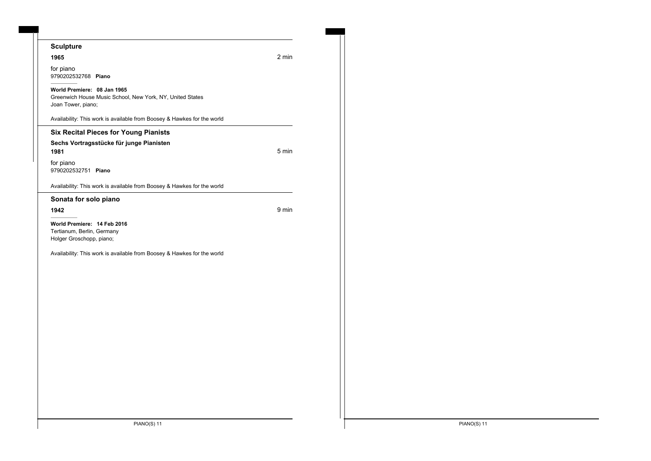### **Sculpture**

#### **1965** 2 min

for piano 9790202532768 **Piano**

#### **World Premiere: 08 Jan 1965**

Greenwich House Music School, New York, NY, United States Joan Tower, piano;

Availability: This work is available from Boosey & Hawkes for the world

### **Six Recital Pieces for Young Pianists**

### **Sechs Vortragsstücke für junge Pianisten**

**1981** 5 min

for piano 9790202532751 **Piano**

Availability: This work is available from Boosey & Hawkes for the world

### **Sonata for solo piano**

**1942** 9 min

**World Premiere: 14 Feb 2016** Tertianum, Berlin, Germany Holger Groschopp, piano;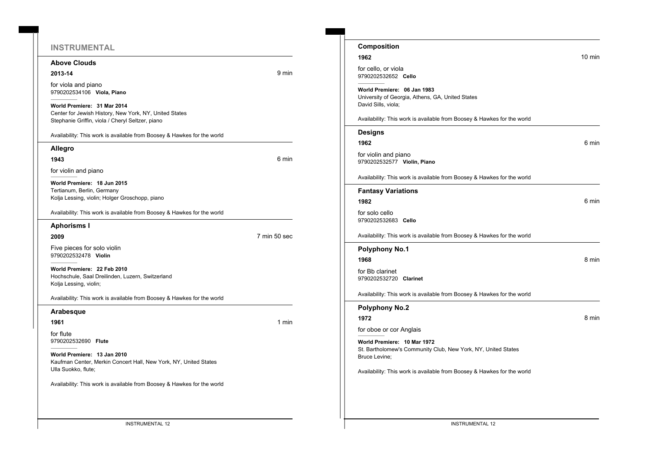### **INSTRUMENTAL**

### **Above Clouds**

#### **2013-14** 9 min

for viola and piano 9790202534106 **Viola, Piano**

**World Premiere: 31 Mar 2014** Center for Jewish History, New York, NY, United States Stephanie Griffin, viola / Cheryl Seltzer, piano

Availability: This work is available from Boosey & Hawkes for the world

#### **Allegro**

**1943** 6 min

for violin and piano

**World Premiere: 18 Jun 2015** Tertianum, Berlin, Germany Kolja Lessing, violin; Holger Groschopp, piano

Availability: This work is available from Boosey & Hawkes for the world

#### **Aphorisms I**

**2009** 7 min 50 sec

Five pieces for solo violin 9790202532478 **Violin**

**World Premiere: 22 Feb 2010** Hochschule, Saal Dreilinden, Luzern, Switzerland Kolja Lessing, violin;

Availability: This work is available from Boosey & Hawkes for the world

#### **Arabesque**

#### **1961 1961 1961**

for flute 9790202532690 **Flute**

**World Premiere: 13 Jan 2010** Kaufman Center, Merkin Concert Hall, New York, NY, United States Ulla Suokko, flute;

| Composition                                                                                                   |                  |
|---------------------------------------------------------------------------------------------------------------|------------------|
| 1962                                                                                                          | $10 \text{ min}$ |
| for cello, or viola<br>9790202532652 Cello                                                                    |                  |
| World Premiere: 06 Jan 1983<br>University of Georgia, Athens, GA, United States<br>David Sills, viola;        |                  |
| Availability: This work is available from Boosey & Hawkes for the world                                       |                  |
| <b>Designs</b>                                                                                                |                  |
| 1962                                                                                                          | 6 min            |
| for violin and piano<br>9790202532577 Violin, Piano                                                           |                  |
| Availability: This work is available from Boosey & Hawkes for the world                                       |                  |
| <b>Fantasy Variations</b>                                                                                     |                  |
| 1982                                                                                                          | 6 min            |
| for solo cello<br>9790202532683 Cello                                                                         |                  |
| Availability: This work is available from Boosey & Hawkes for the world                                       |                  |
| <b>Polyphony No.1</b>                                                                                         |                  |
| 1968                                                                                                          | 8 min            |
| for Bb clarinet<br>9790202532720 Clarinet                                                                     |                  |
| Availability: This work is available from Boosey & Hawkes for the world                                       |                  |
| <b>Polyphony No.2</b>                                                                                         |                  |
| 1972                                                                                                          | 8 min            |
| for oboe or cor Anglais                                                                                       |                  |
| World Premiere: 10 Mar 1972<br>St. Bartholomew's Community Club, New York, NY, United States<br>Bruce Levine: |                  |
| Availability: This work is available from Boosey & Hawkes for the world                                       |                  |
|                                                                                                               |                  |
|                                                                                                               |                  |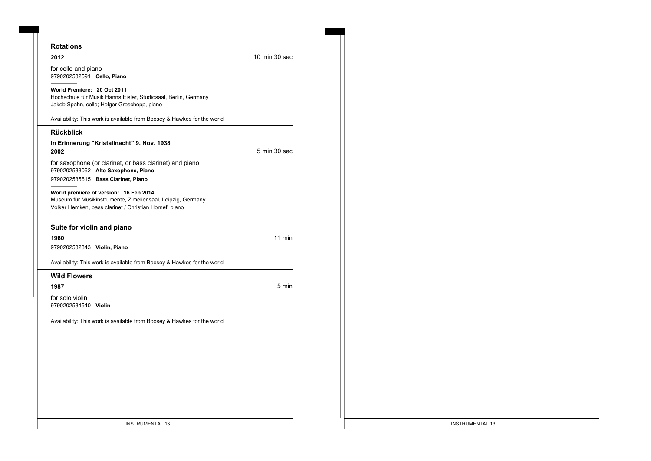| <b>Rotations</b>                                                                                                                                                |               |
|-----------------------------------------------------------------------------------------------------------------------------------------------------------------|---------------|
| 2012                                                                                                                                                            | 10 min 30 sec |
| for cello and piano<br>9790202532591 Cello, Piano                                                                                                               |               |
| World Premiere: 20 Oct 2011<br>Hochschule für Musik Hanns Eisler, Studiosaal, Berlin, Germany<br>Jakob Spahn, cello; Holger Groschopp, piano                    |               |
| Availability: This work is available from Boosey & Hawkes for the world                                                                                         |               |
| <b>Rückblick</b>                                                                                                                                                |               |
| In Erinnerung "Kristallnacht" 9. Nov. 1938<br>2002                                                                                                              | 5 min 30 sec  |
| for saxophone (or clarinet, or bass clarinet) and piano<br>9790202533062 Alto Saxophone, Piano<br>9790202535615 Bass Clarinet, Piano                            |               |
| World premiere of version: 16 Feb 2014<br>Museum für Musikinstrumente, Zimeliensaal, Leipzig, Germany<br>Volker Hemken, bass clarinet / Christian Hornef, piano |               |
| Suite for violin and piano                                                                                                                                      |               |
| 1960                                                                                                                                                            | $11$ min      |
| 9790202532843 Violin, Piano                                                                                                                                     |               |
| Availability: This work is available from Boosey & Hawkes for the world                                                                                         |               |
| <b>Wild Flowers</b>                                                                                                                                             |               |
| 1987                                                                                                                                                            | 5 min         |
| for solo violin<br>9790202534540 Violin                                                                                                                         |               |
| Availability: This work is available from Boosey & Hawkes for the world                                                                                         |               |
|                                                                                                                                                                 |               |
|                                                                                                                                                                 |               |
|                                                                                                                                                                 |               |
|                                                                                                                                                                 |               |
|                                                                                                                                                                 |               |
|                                                                                                                                                                 |               |
|                                                                                                                                                                 |               |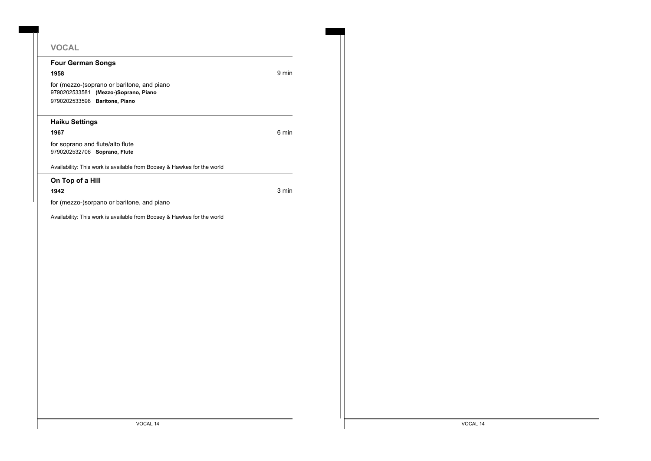# **VOCAL**

### **Four German Songs**

**1958** 9 min

for (mezzo-)soprano or baritone, and piano 9790202533581 **(Mezzo-)Soprano, Piano** 9790202533598 **Baritone, Piano**

### **Haiku Settings**

**1967** 6 min

for soprano and flute/alto flute 9790202532706 **Soprano, Flute**

Availability: This work is available from Boosey & Hawkes for the world

**On Top of a Hill**

**1942** 3 min

for (mezzo-)sorpano or baritone, and piano